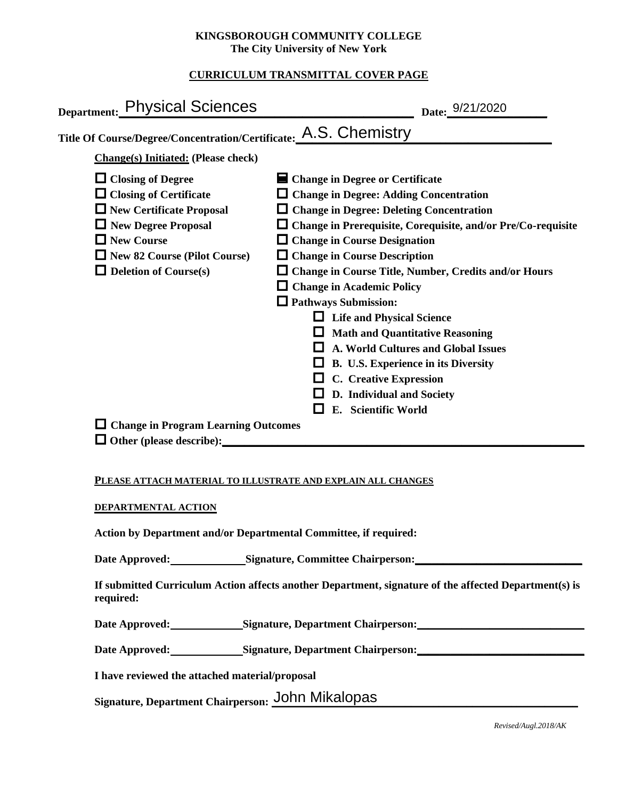### **KINGSBOROUGH COMMUNITY COLLEGE The City University of New York**

# **CURRICULUM TRANSMITTAL COVER PAGE**

| Date: 9/21/2020                                                                                                                                                                                                                                                                                                                                                                                                                                                                                                                                                                                                                                                                                                                                 |
|-------------------------------------------------------------------------------------------------------------------------------------------------------------------------------------------------------------------------------------------------------------------------------------------------------------------------------------------------------------------------------------------------------------------------------------------------------------------------------------------------------------------------------------------------------------------------------------------------------------------------------------------------------------------------------------------------------------------------------------------------|
| Title Of Course/Degree/Concentration/Certificate: A.S. Chemistry                                                                                                                                                                                                                                                                                                                                                                                                                                                                                                                                                                                                                                                                                |
|                                                                                                                                                                                                                                                                                                                                                                                                                                                                                                                                                                                                                                                                                                                                                 |
| $\blacksquare$ Change in Degree or Certificate<br>$\Box$ Change in Degree: Adding Concentration<br>$\Box$ Change in Degree: Deleting Concentration<br>$\Box$ Change in Prerequisite, Corequisite, and/or Pre/Co-requisite<br>$\Box$ Change in Course Designation<br>$\Box$ Change in Course Description<br>$\Box$ Change in Course Title, Number, Credits and/or Hours<br>$\Box$ Change in Academic Policy<br>$\Box$ Pathways Submission:<br><b>Life and Physical Science</b><br><b>Math and Quantitative Reasoning</b><br><b>A. World Cultures and Global Issues</b><br>B. U.S. Experience in its Diversity<br><b>C.</b> Creative Expression<br>D. Individual and Society<br>E. Scientific World<br>$\Box$ Change in Program Learning Outcomes |
|                                                                                                                                                                                                                                                                                                                                                                                                                                                                                                                                                                                                                                                                                                                                                 |

### **PLEASE ATTACH MATERIAL TO ILLUSTRATE AND EXPLAIN ALL CHANGES**

### **DEPARTMENTAL ACTION**

**Action by Department and/or Departmental Committee, if required:**

Date Approved: Signature, Committee Chairperson:

**If submitted Curriculum Action affects another Department, signature of the affected Department(s) is required:**

Date Approved: Signature, Department Chairperson:

Date Approved: Signature, Department Chairperson: Networking the Approved: Networking State Approved:

**I have reviewed the attached material/proposal**

Signature, Department Chairperson: John Mikalopas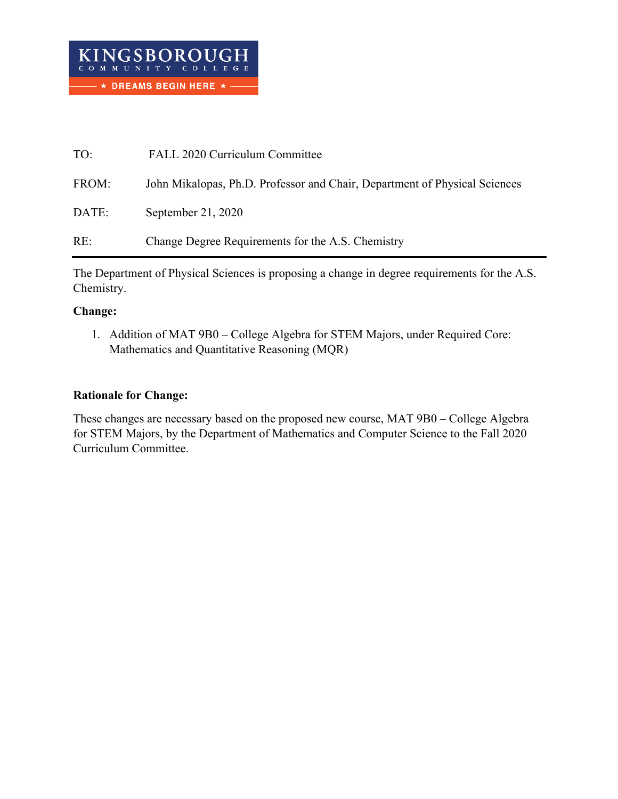| TO:   | FALL 2020 Curriculum Committee                                             |
|-------|----------------------------------------------------------------------------|
| FROM: | John Mikalopas, Ph.D. Professor and Chair, Department of Physical Sciences |
| DATE: | September 21, 2020                                                         |
| RE:   | Change Degree Requirements for the A.S. Chemistry                          |

The Department of Physical Sciences is proposing a change in degree requirements for the A.S. Chemistry.

# **Change:**

1. Addition of MAT 9B0 – College Algebra for STEM Majors, under Required Core: Mathematics and Quantitative Reasoning (MQR)

# **Rationale for Change:**

These changes are necessary based on the proposed new course, MAT 9B0 – College Algebra for STEM Majors, by the Department of Mathematics and Computer Science to the Fall 2020 Curriculum Committee.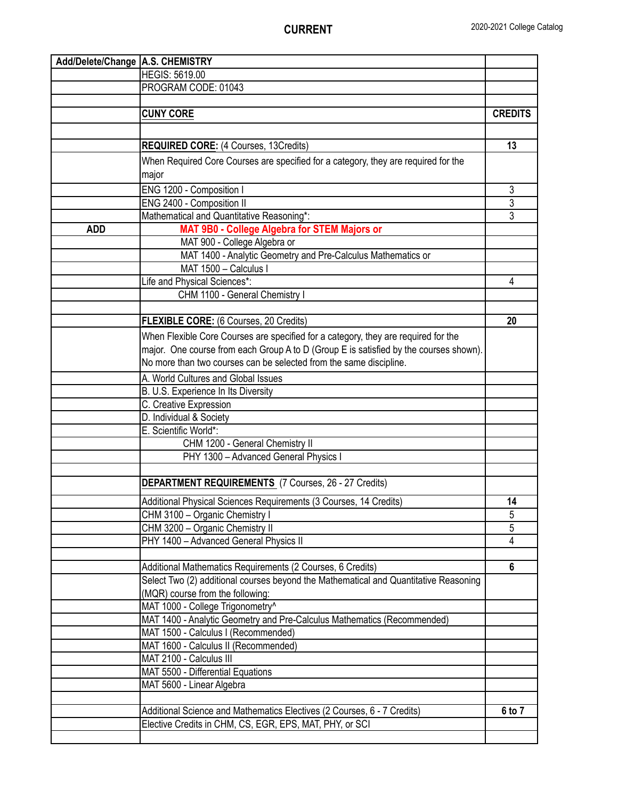| Add/Delete/Change   A.S. CHEMISTRY |                                                                                       |                |
|------------------------------------|---------------------------------------------------------------------------------------|----------------|
|                                    | <b>HEGIS: 5619.00</b>                                                                 |                |
|                                    | PROGRAM CODE: 01043                                                                   |                |
|                                    |                                                                                       |                |
|                                    | <b>CUNY CORE</b>                                                                      | <b>CREDITS</b> |
|                                    |                                                                                       |                |
|                                    | <b>REQUIRED CORE:</b> (4 Courses, 13Credits)                                          | 13             |
|                                    | When Required Core Courses are specified for a category, they are required for the    |                |
|                                    | major                                                                                 |                |
|                                    | ENG 1200 - Composition I                                                              | 3              |
|                                    | ENG 2400 - Composition II                                                             | 3              |
|                                    | Mathematical and Quantitative Reasoning*:                                             | 3              |
| <b>ADD</b>                         | MAT 9B0 - College Algebra for STEM Majors or                                          |                |
|                                    | MAT 900 - College Algebra or                                                          |                |
|                                    | MAT 1400 - Analytic Geometry and Pre-Calculus Mathematics or                          |                |
|                                    | MAT 1500 - Calculus I                                                                 |                |
|                                    | Life and Physical Sciences*:                                                          | 4              |
|                                    | CHM 1100 - General Chemistry I                                                        |                |
|                                    |                                                                                       |                |
|                                    | FLEXIBLE CORE: (6 Courses, 20 Credits)                                                | 20             |
|                                    |                                                                                       |                |
|                                    | When Flexible Core Courses are specified for a category, they are required for the    |                |
|                                    | major. One course from each Group A to D (Group E is satisfied by the courses shown). |                |
|                                    | No more than two courses can be selected from the same discipline.                    |                |
|                                    | A. World Cultures and Global Issues                                                   |                |
|                                    | B. U.S. Experience In Its Diversity                                                   |                |
|                                    | C. Creative Expression                                                                |                |
|                                    | D. Individual & Society                                                               |                |
|                                    | E. Scientific World*:                                                                 |                |
|                                    | CHM 1200 - General Chemistry II                                                       |                |
|                                    | PHY 1300 - Advanced General Physics I                                                 |                |
|                                    |                                                                                       |                |
|                                    | <b>DEPARTMENT REQUIREMENTS (7 Courses, 26 - 27 Credits)</b>                           |                |
|                                    | Additional Physical Sciences Requirements (3 Courses, 14 Credits)                     | 14             |
|                                    | CHM 3100 - Organic Chemistry I                                                        | 5              |
|                                    | CHM 3200 - Organic Chemistry II                                                       | 5              |
|                                    | PHY 1400 - Advanced General Physics II                                                | $\overline{4}$ |
|                                    |                                                                                       |                |
|                                    | Additional Mathematics Requirements (2 Courses, 6 Credits)                            | 6              |
|                                    | Select Two (2) additional courses beyond the Mathematical and Quantitative Reasoning  |                |
|                                    | (MQR) course from the following:                                                      |                |
|                                    | MAT 1000 - College Trigonometry^                                                      |                |
|                                    | MAT 1400 - Analytic Geometry and Pre-Calculus Mathematics (Recommended)               |                |
|                                    | MAT 1500 - Calculus I (Recommended)                                                   |                |
|                                    | MAT 1600 - Calculus II (Recommended)                                                  |                |
|                                    | MAT 2100 - Calculus III                                                               |                |
|                                    | MAT 5500 - Differential Equations                                                     |                |
|                                    | MAT 5600 - Linear Algebra                                                             |                |
|                                    |                                                                                       |                |
|                                    | Additional Science and Mathematics Electives (2 Courses, 6 - 7 Credits)               | 6 to 7         |
|                                    | Elective Credits in CHM, CS, EGR, EPS, MAT, PHY, or SCI                               |                |
|                                    |                                                                                       |                |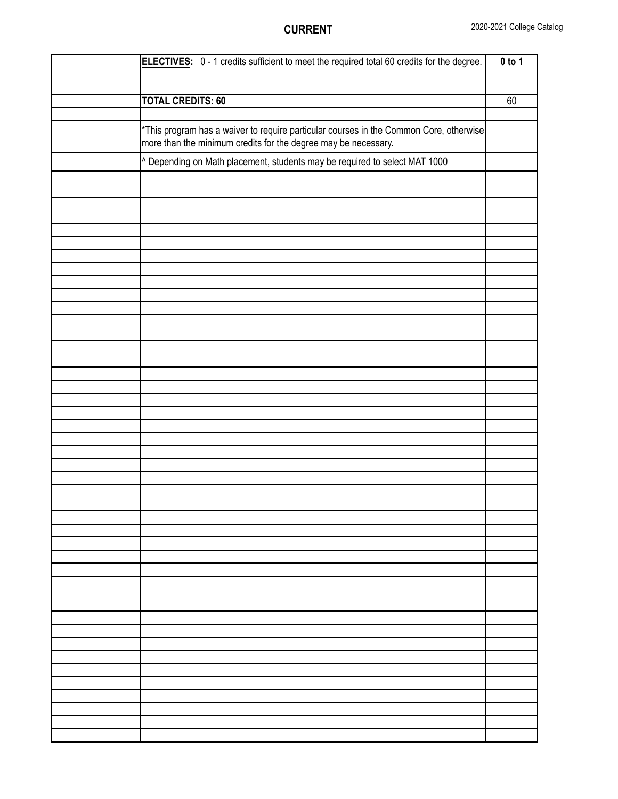| ELECTIVES: 0 - 1 credits sufficient to meet the required total 60 credits for the degree. | $0$ to 1 |
|-------------------------------------------------------------------------------------------|----------|
|                                                                                           |          |
|                                                                                           |          |
| <b>TOTAL CREDITS: 60</b>                                                                  | 60       |
|                                                                                           |          |
| *This program has a waiver to require particular courses in the Common Core, otherwise    |          |
|                                                                                           |          |
| more than the minimum credits for the degree may be necessary.                            |          |
| ^ Depending on Math placement, students may be required to select MAT 1000                |          |
|                                                                                           |          |
|                                                                                           |          |
|                                                                                           |          |
|                                                                                           |          |
|                                                                                           |          |
|                                                                                           |          |
|                                                                                           |          |
|                                                                                           |          |
|                                                                                           |          |
|                                                                                           |          |
|                                                                                           |          |
|                                                                                           |          |
|                                                                                           |          |
|                                                                                           |          |
|                                                                                           |          |
|                                                                                           |          |
|                                                                                           |          |
|                                                                                           |          |
|                                                                                           |          |
|                                                                                           |          |
|                                                                                           |          |
|                                                                                           |          |
|                                                                                           |          |
|                                                                                           |          |
|                                                                                           |          |
|                                                                                           |          |
|                                                                                           |          |
|                                                                                           |          |
|                                                                                           |          |
|                                                                                           |          |
|                                                                                           |          |
|                                                                                           |          |
|                                                                                           |          |
|                                                                                           |          |
|                                                                                           |          |
|                                                                                           |          |
|                                                                                           |          |
|                                                                                           |          |
|                                                                                           |          |
|                                                                                           |          |
|                                                                                           |          |
|                                                                                           |          |
|                                                                                           |          |
|                                                                                           |          |
|                                                                                           |          |
|                                                                                           |          |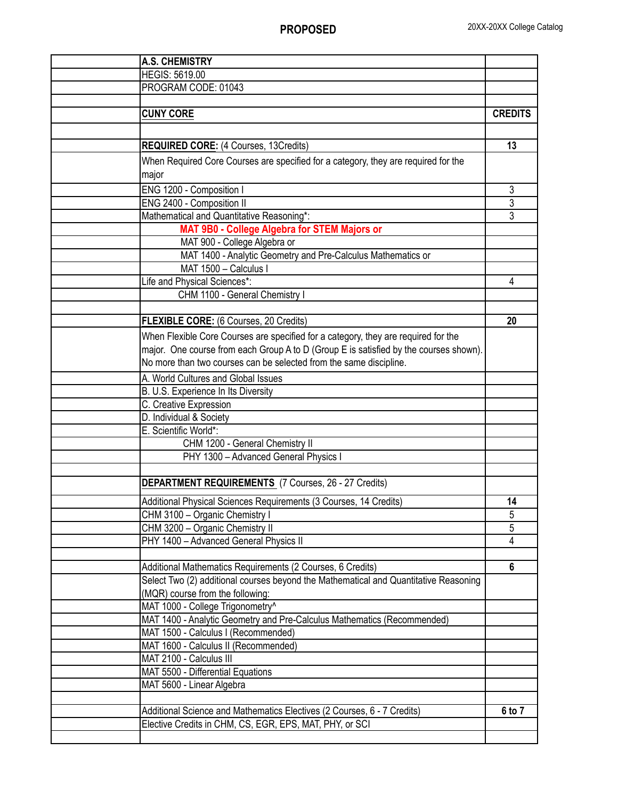| <b>A.S. CHEMISTRY</b>                                                                 |                |
|---------------------------------------------------------------------------------------|----------------|
| <b>HEGIS: 5619.00</b>                                                                 |                |
| PROGRAM CODE: 01043                                                                   |                |
|                                                                                       |                |
| <b>CUNY CORE</b>                                                                      | <b>CREDITS</b> |
|                                                                                       |                |
| <b>REQUIRED CORE:</b> (4 Courses, 13Credits)                                          | 13             |
| When Required Core Courses are specified for a category, they are required for the    |                |
| major                                                                                 |                |
| ENG 1200 - Composition I                                                              | 3              |
| ENG 2400 - Composition II                                                             | 3              |
| Mathematical and Quantitative Reasoning*:                                             | 3              |
| MAT 9B0 - College Algebra for STEM Majors or                                          |                |
| MAT 900 - College Algebra or                                                          |                |
| MAT 1400 - Analytic Geometry and Pre-Calculus Mathematics or                          |                |
| MAT 1500 - Calculus I                                                                 |                |
| Life and Physical Sciences*:                                                          | 4              |
| CHM 1100 - General Chemistry I                                                        |                |
|                                                                                       |                |
| <b>FLEXIBLE CORE:</b> (6 Courses, 20 Credits)                                         | 20             |
| When Flexible Core Courses are specified for a category, they are required for the    |                |
| major. One course from each Group A to D (Group E is satisfied by the courses shown). |                |
| No more than two courses can be selected from the same discipline.                    |                |
| A. World Cultures and Global Issues                                                   |                |
| B. U.S. Experience In Its Diversity                                                   |                |
| C. Creative Expression                                                                |                |
| D. Individual & Society                                                               |                |
| E. Scientific World*:                                                                 |                |
| CHM 1200 - General Chemistry II                                                       |                |
| PHY 1300 - Advanced General Physics I                                                 |                |
|                                                                                       |                |
| <b>DEPARTMENT REQUIREMENTS</b> (7 Courses, 26 - 27 Credits)                           |                |
| Additional Physical Sciences Requirements (3 Courses, 14 Credits)                     | 14             |
| CHM 3100 - Organic Chemistry I                                                        | 5              |
| CHM 3200 - Organic Chemistry II                                                       | 5              |
| PHY 1400 - Advanced General Physics II                                                | 4              |
|                                                                                       |                |
| Additional Mathematics Requirements (2 Courses, 6 Credits)                            | $6\phantom{1}$ |
| Select Two (2) additional courses beyond the Mathematical and Quantitative Reasoning  |                |
| (MQR) course from the following:                                                      |                |
| MAT 1000 - College Trigonometry^                                                      |                |
| MAT 1400 - Analytic Geometry and Pre-Calculus Mathematics (Recommended)               |                |
| MAT 1500 - Calculus I (Recommended)                                                   |                |
| MAT 1600 - Calculus II (Recommended)                                                  |                |
| MAT 2100 - Calculus III                                                               |                |
| MAT 5500 - Differential Equations                                                     |                |
| MAT 5600 - Linear Algebra                                                             |                |
|                                                                                       |                |
| Additional Science and Mathematics Electives (2 Courses, 6 - 7 Credits)               | 6 to 7         |
| Elective Credits in CHM, CS, EGR, EPS, MAT, PHY, or SCI                               |                |
|                                                                                       |                |